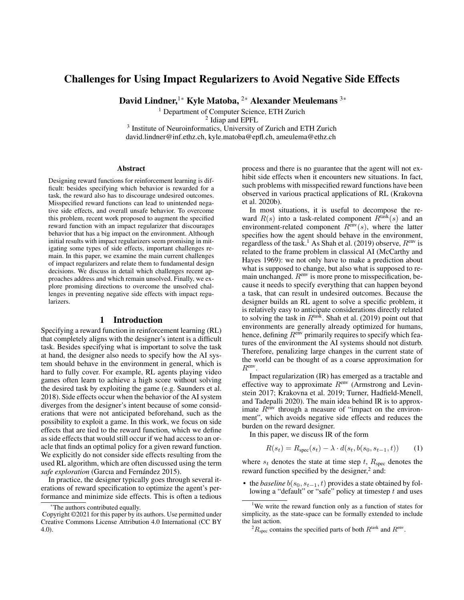# Challenges for Using Impact Regularizers to Avoid Negative Side Effects

David Lindner,<sup>1\*</sup> Kyle Matoba, <sup>2\*</sup> Alexander Meulemans<sup>3\*</sup>

<sup>1</sup> Department of Computer Science, ETH Zurich

2 Idiap and EPFL

<sup>3</sup> Institute of Neuroinformatics, University of Zurich and ETH Zurich david.lindner@inf.ethz.ch, kyle.matoba@epfl.ch, ameulema@ethz.ch

#### Abstract

Designing reward functions for reinforcement learning is difficult: besides specifying which behavior is rewarded for a task, the reward also has to discourage undesired outcomes. Misspecified reward functions can lead to unintended negative side effects, and overall unsafe behavior. To overcome this problem, recent work proposed to augment the specified reward function with an impact regularizer that discourages behavior that has a big impact on the environment. Although initial results with impact regularizers seem promising in mitigating some types of side effects, important challenges remain. In this paper, we examine the main current challenges of impact regularizers and relate them to fundamental design decisions. We discuss in detail which challenges recent approaches address and which remain unsolved. Finally, we explore promising directions to overcome the unsolved challenges in preventing negative side effects with impact regularizers.

#### 1 Introduction

Specifying a reward function in reinforcement learning (RL) that completely aligns with the designer's intent is a difficult task. Besides specifying what is important to solve the task at hand, the designer also needs to specify how the AI system should behave in the environment in general, which is hard to fully cover. For example, RL agents playing video games often learn to achieve a high score without solving the desired task by exploiting the game (e.g. Saunders et al. 2018). Side effects occur when the behavior of the AI system diverges from the designer's intent because of some considerations that were not anticipated beforehand, such as the possibility to exploit a game. In this work, we focus on side effects that are tied to the reward function, which we define as side effects that would still occur if we had access to an oracle that finds an optimal policy for a given reward function. We explicitly do not consider side effects resulting from the used RL algorithm, which are often discussed using the term *safe exploration* (Garcıa and Fernández 2015).

In practice, the designer typically goes through several iterations of reward specification to optimize the agent's performance and minimize side effects. This is often a tedious

process and there is no guarantee that the agent will not exhibit side effects when it encounters new situations. In fact, such problems with misspecified reward functions have been observed in various practical applications of RL (Krakovna et al. 2020b).

In most situations, it is useful to decompose the reward  $R(s)$  into a task-related component  $R<sup>task</sup>(s)$  and an environment-related component  $R<sup>env</sup>(s)$ , where the latter specifies how the agent should behave in the environment, regardless of the task.<sup>1</sup> As Shah et al. (2019) observe,  $R^{env}$  is related to the frame problem in classical AI (McCarthy and Hayes 1969): we not only have to make a prediction about what is supposed to change, but also what is supposed to remain unchanged.  $R<sup>env</sup>$  is more prone to misspecification, because it needs to specify everything that can happen beyond a task, that can result in undesired outcomes. Because the designer builds an RL agent to solve a specific problem, it is relatively easy to anticipate considerations directly related to solving the task in  $R^{\text{task}}$ . Shah et al. (2019) point out that environments are generally already optimized for humans, hence, defining  $R<sup>env</sup>$  primarily requires to specify which features of the environment the AI systems should not disturb. Therefore, penalizing large changes in the current state of the world can be thought of as a coarse approximation for Renv .

Impact regularization (IR) has emerged as a tractable and effective way to approximate  $R<sup>env</sup>$  (Armstrong and Levinstein 2017; Krakovna et al. 2019; Turner, Hadfield-Menell, and Tadepalli 2020). The main idea behind IR is to approximate  $R<sup>env</sup>$  through a measure of "impact on the environment", which avoids negative side effects and reduces the burden on the reward designer.

In this paper, we discuss IR of the form

$$
R(s_t) = R_{\rm spec}(s_t) - \lambda \cdot d(s_t, b(s_0, s_{t-1}, t))
$$
 (1)

where  $s_t$  denotes the state at time step t,  $R_{\text{spec}}$  denotes the reward function specified by the designer, $2$  and:

• the *baseline*  $b(s_0, s_{t-1}, t)$  provides a state obtained by following a "default" or "safe" policy at timestep  $t$  and uses

The authors contributed equally.

Copyright ©2021 for this paper by its authors. Use permitted under Creative Commons License Attribution 4.0 International (CC BY 4.0).

<sup>&</sup>lt;sup>1</sup>We write the reward function only as a function of states for simplicity, as the state-space can be formally extended to include the last action.

 ${}^{2}R_{\text{spec}}$  contains the specified parts of both  $R^{\text{task}}$  and  $R^{\text{env}}$ .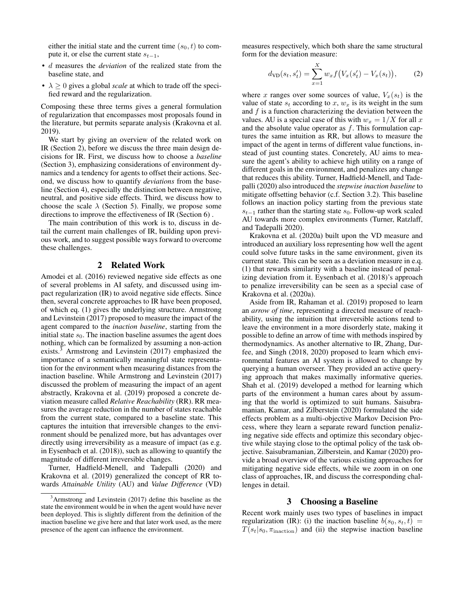either the initial state and the current time  $(s_0, t)$  to compute it, or else the current state  $s_{t-1}$ ,

- d measures the *deviation* of the realized state from the baseline state, and
- $\lambda \geq 0$  gives a global *scale* at which to trade off the specified reward and the regularization.

Composing these three terms gives a general formulation of regularization that encompasses most proposals found in the literature, but permits separate analysis (Krakovna et al. 2019).

We start by giving an overview of the related work on IR (Section 2), before we discuss the three main design decisions for IR. First, we discuss how to choose a *baseline* (Section 3), emphasizing considerations of environment dynamics and a tendency for agents to offset their actions. Second, we discuss how to quantify *deviations* from the baseline (Section 4), especially the distinction between negative, neutral, and positive side effects. Third, we discuss how to choose the scale  $\lambda$  (Section 5). Finally, we propose some directions to improve the effectiveness of IR (Section 6) .

The main contribution of this work is to, discuss in detail the current main challenges of IR, building upon previous work, and to suggest possible ways forward to overcome these challenges.

#### 2 Related Work

Amodei et al. (2016) reviewed negative side effects as one of several problems in AI safety, and discussed using impact regularization (IR) to avoid negative side effects. Since then, several concrete approaches to IR have been proposed, of which eq. (1) gives the underlying structure. Armstrong and Levinstein (2017) proposed to measure the impact of the agent compared to the *inaction baseline*, starting from the initial state  $s_0$ . The inaction baseline assumes the agent does nothing, which can be formalized by assuming a non-action exists.<sup>3</sup> Armstrong and Levinstein (2017) emphasized the importance of a semantically meaningful state representation for the environment when measuring distances from the inaction baseline. While Armstrong and Levinstein (2017) discussed the problem of measuring the impact of an agent abstractly, Krakovna et al. (2019) proposed a concrete deviation measure called *Relative Reachability* (RR). RR measures the average reduction in the number of states reachable from the current state, compared to a baseline state. This captures the intuition that irreversible changes to the environment should be penalized more, but has advantages over directly using irreversibility as a measure of impact (as e.g. in Eysenbach et al. (2018)), such as allowing to quantify the magnitude of different irreversible changes.

Turner, Hadfield-Menell, and Tadepalli (2020) and Krakovna et al. (2019) generalized the concept of RR towards *Attainable Utility* (AU) and *Value Difference* (VD)

measures respectively, which both share the same structural form for the deviation measure:

$$
d_{\text{VD}}(s_t, s_t') = \sum_{x=1}^{X} w_x f(V_x(s_t') - V_x(s_t)), \tag{2}
$$

where x ranges over some sources of value,  $V_x(s_t)$  is the value of state  $s_t$  according to x,  $w_x$  is its weight in the sum and  $f$  is a function characterizing the deviation between the values. AU is a special case of this with  $w_x = 1/X$  for all x and the absolute value operator as  $f$ . This formulation captures the same intuition as RR, but allows to measure the impact of the agent in terms of different value functions, instead of just counting states. Concretely, AU aims to measure the agent's ability to achieve high utility on a range of different goals in the environment, and penalizes any change that reduces this ability. Turner, Hadfield-Menell, and Tadepalli (2020) also introduced the *stepwise inaction baseline* to mitigate offsetting behavior (c.f. Section 3.2). This baseline follows an inaction policy starting from the previous state  $s_{t-1}$  rather than the starting state  $s_0$ . Follow-up work scaled AU towards more complex environments (Turner, Ratzlaff, and Tadepalli 2020).

Krakovna et al. (2020a) built upon the VD measure and introduced an auxiliary loss representing how well the agent could solve future tasks in the same environment, given its current state. This can be seen as a deviation measure in e.q. (1) that rewards similarity with a baseline instead of penalizing deviation from it. Eysenbach et al. (2018)'s approach to penalize irreversibility can be seen as a special case of Krakovna et al. (2020a).

Aside from IR, Rahaman et al. (2019) proposed to learn an *arrow of time*, representing a directed measure of reachability, using the intuition that irreversible actions tend to leave the environment in a more disorderly state, making it possible to define an arrow of time with methods inspired by thermodynamics. As another alternative to IR, Zhang, Durfee, and Singh (2018, 2020) proposed to learn which environmental features an AI system is allowed to change by querying a human overseer. They provided an active querying approach that makes maximally informative queries. Shah et al. (2019) developed a method for learning which parts of the environment a human cares about by assuming that the world is optimized to suit humans. Saisubramanian, Kamar, and Zilberstein (2020) formulated the side effects problem as a multi-objective Markov Decision Process, where they learn a separate reward function penalizing negative side effects and optimize this secondary objective while staying close to the optimal policy of the task objective. Saisubramanian, Zilberstein, and Kamar (2020) provide a broad overview of the various existing approaches for mitigating negative side effects, while we zoom in on one class of approaches, IR, and discuss the corresponding challenges in detail.

## 3 Choosing a Baseline

Recent work mainly uses two types of baselines in impact regularization (IR): (i) the inaction baseline  $b(s_0, s_t, t)$  =  $T(s_t|s_0, \pi_{\text{inaction}})$  and (ii) the stepwise inaction baseline

<sup>3</sup>Armstrong and Levinstein (2017) define this baseline as the state the environment would be in when the agent would have never been deployed. This is slightly different from the definition of the inaction baseline we give here and that later work used, as the mere presence of the agent can influence the environment.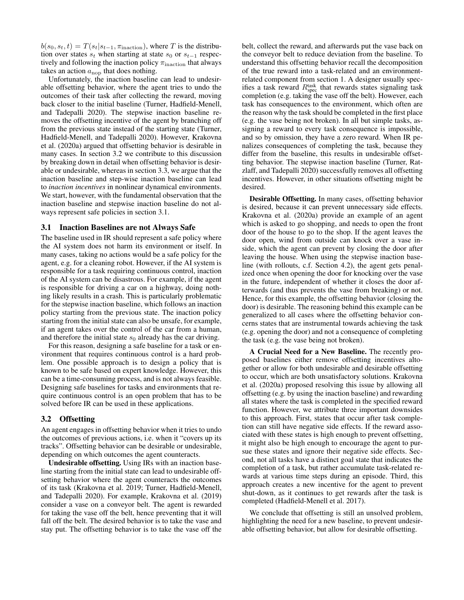$b(s_0, s_t, t) = T(s_t|s_{t-1}, \pi_{\text{inaction}})$ , where T is the distribution over states  $s_t$  when starting at state  $s_0$  or  $s_{t-1}$  respectively and following the inaction policy  $\pi_{\text{inaction}}$  that always takes an action  $a_{\text{nop}}$  that does nothing.

Unfortunately, the inaction baseline can lead to undesirable offsetting behavior, where the agent tries to undo the outcomes of their task after collecting the reward, moving back closer to the initial baseline (Turner, Hadfield-Menell, and Tadepalli 2020). The stepwise inaction baseline removes the offsetting incentive of the agent by branching off from the previous state instead of the starting state (Turner, Hadfield-Menell, and Tadepalli 2020). However, Krakovna et al. (2020a) argued that offsetting behavior is desirable in many cases. In section 3.2 we contribute to this discussion by breaking down in detail when offsetting behavior is desirable or undesirable, whereas in section 3.3, we argue that the inaction baseline and step-wise inaction baseline can lead to *inaction incentives* in nonlinear dynamical environments. We start, however, with the fundamental observation that the inaction baseline and stepwise inaction baseline do not always represent safe policies in section 3.1.

#### 3.1 Inaction Baselines are not Always Safe

The baseline used in IR should represent a safe policy where the AI system does not harm its environment or itself. In many cases, taking no actions would be a safe policy for the agent, e.g. for a cleaning robot. However, if the AI system is responsible for a task requiring continuous control, inaction of the AI system can be disastrous. For example, if the agent is responsible for driving a car on a highway, doing nothing likely results in a crash. This is particularly problematic for the stepwise inaction baseline, which follows an inaction policy starting from the previous state. The inaction policy starting from the initial state can also be unsafe, for example, if an agent takes over the control of the car from a human, and therefore the initial state  $s_0$  already has the car driving.

For this reason, designing a safe baseline for a task or environment that requires continuous control is a hard problem. One possible approach is to design a policy that is known to be safe based on expert knowledge. However, this can be a time-consuming process, and is not always feasible. Designing safe baselines for tasks and environments that require continuous control is an open problem that has to be solved before IR can be used in these applications.

#### 3.2 Offsetting

An agent engages in offsetting behavior when it tries to undo the outcomes of previous actions, i.e. when it "covers up its tracks". Offsetting behavior can be desirable or undesirable, depending on which outcomes the agent counteracts.

Undesirable offsetting. Using IRs with an inaction baseline starting from the initial state can lead to undesirable offsetting behavior where the agent counteracts the outcomes of its task (Krakovna et al. 2019; Turner, Hadfield-Menell, and Tadepalli 2020). For example, Krakovna et al. (2019) consider a vase on a conveyor belt. The agent is rewarded for taking the vase off the belt, hence preventing that it will fall off the belt. The desired behavior is to take the vase and stay put. The offsetting behavior is to take the vase off the

belt, collect the reward, and afterwards put the vase back on the conveyor belt to reduce deviation from the baseline. To understand this offsetting behavior recall the decomposition of the true reward into a task-related and an environmentrelated component from section 1. A designer usually specifies a task reward  $R_{\rm spec}^{\rm task}$  that rewards states signaling task completion (e.g. taking the vase off the belt). However, each task has consequences to the environment, which often are the reason why the task should be completed in the first place (e.g. the vase being not broken). In all but simple tasks, assigning a reward to every task consequence is impossible, and so by omission, they have a zero reward. When IR penalizes consequences of completing the task, because they differ from the baseline, this results in undesirable offsetting behavior. The stepwise inaction baseline (Turner, Ratzlaff, and Tadepalli 2020) successfully removes all offsetting incentives. However, in other situations offsetting might be desired.

Desirable Offsetting. In many cases, offsetting behavior is desired, because it can prevent unnecessary side effects. Krakovna et al. (2020a) provide an example of an agent which is asked to go shopping, and needs to open the front door of the house to go to the shop. If the agent leaves the door open, wind from outside can knock over a vase inside, which the agent can prevent by closing the door after leaving the house. When using the stepwise inaction baseline (with rollouts, c.f. Section 4.2), the agent gets penalized once when opening the door for knocking over the vase in the future, independent of whether it closes the door afterwards (and thus prevents the vase from breaking) or not. Hence, for this example, the offsetting behavior (closing the door) is desirable. The reasoning behind this example can be generalized to all cases where the offsetting behavior concerns states that are instrumental towards achieving the task (e.g. opening the door) and not a consequence of completing the task (e.g. the vase being not broken).

A Crucial Need for a New Baseline. The recently proposed baselines either remove offsetting incentives altogether or allow for both undesirable and desirable offsetting to occur, which are both unsatisfactory solutions. Krakovna et al. (2020a) proposed resolving this issue by allowing all offsetting (e.g. by using the inaction baseline) and rewarding all states where the task is completed in the specified reward function. However, we attribute three important downsides to this approach. First, states that occur after task completion can still have negative side effects. If the reward associated with these states is high enough to prevent offsetting, it might also be high enough to encourage the agent to pursue these states and ignore their negative side effects. Second, not all tasks have a distinct goal state that indicates the completion of a task, but rather accumulate task-related rewards at various time steps during an episode. Third, this approach creates a new incentive for the agent to prevent shut-down, as it continues to get rewards after the task is completed (Hadfield-Menell et al. 2017).

We conclude that offsetting is still an unsolved problem, highlighting the need for a new baseline, to prevent undesirable offsetting behavior, but allow for desirable offsetting.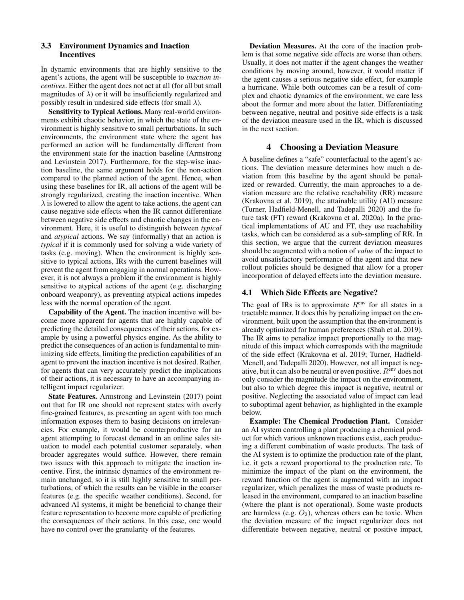### 3.3 Environment Dynamics and Inaction Incentives

In dynamic environments that are highly sensitive to the agent's actions, the agent will be susceptible to *inaction incentives*. Either the agent does not act at all (for all but small magnitudes of  $\lambda$ ) or it will be insufficiently regularized and possibly result in undesired side effects (for small  $\lambda$ ).

Sensitivity to Typical Actions. Many real-world environments exhibit chaotic behavior, in which the state of the environment is highly sensitive to small perturbations. In such environments, the environment state where the agent has performed an action will be fundamentally different from the environment state for the inaction baseline (Armstrong and Levinstein 2017). Furthermore, for the step-wise inaction baseline, the same argument holds for the non-action compared to the planned action of the agent. Hence, when using these baselines for IR, all actions of the agent will be strongly regularized, creating the inaction incentive. When  $\lambda$  is lowered to allow the agent to take actions, the agent can cause negative side effects when the IR cannot differentiate between negative side effects and chaotic changes in the environment. Here, it is useful to distinguish between *typical* and *atypical* actions. We say (informally) that an action is *typical* if it is commonly used for solving a wide variety of tasks (e.g. moving). When the environment is highly sensitive to typical actions, IRs with the current baselines will prevent the agent from engaging in normal operations. However, it is not always a problem if the environment is highly sensitive to atypical actions of the agent (e.g. discharging onboard weaponry), as preventing atypical actions impedes less with the normal operation of the agent.

Capability of the Agent. The inaction incentive will become more apparent for agents that are highly capable of predicting the detailed consequences of their actions, for example by using a powerful physics engine. As the ability to predict the consequences of an action is fundamental to minimizing side effects, limiting the prediction capabilities of an agent to prevent the inaction incentive is not desired. Rather, for agents that can very accurately predict the implications of their actions, it is necessary to have an accompanying intelligent impact regularizer.

State Features. Armstrong and Levinstein (2017) point out that for IR one should not represent states with overly fine-grained features, as presenting an agent with too much information exposes them to basing decisions on irrelevancies. For example, it would be counterproductive for an agent attempting to forecast demand in an online sales situation to model each potential customer separately, when broader aggregates would suffice. However, there remain two issues with this approach to mitigate the inaction incentive. First, the intrinsic dynamics of the environment remain unchanged, so it is still highly sensitive to small perturbations, of which the results can be visible in the coarser features (e.g. the specific weather conditions). Second, for advanced AI systems, it might be beneficial to change their feature representation to become more capable of predicting the consequences of their actions. In this case, one would have no control over the granularity of the features.

Deviation Measures. At the core of the inaction problem is that some negative side effects are worse than others. Usually, it does not matter if the agent changes the weather conditions by moving around, however, it would matter if the agent causes a serious negative side effect, for example a hurricane. While both outcomes can be a result of complex and chaotic dynamics of the environment, we care less about the former and more about the latter. Differentiating between negative, neutral and positive side effects is a task of the deviation measure used in the IR, which is discussed in the next section.

### 4 Choosing a Deviation Measure

A baseline defines a "safe" counterfactual to the agent's actions. The deviation measure determines how much a deviation from this baseline by the agent should be penalized or rewarded. Currently, the main approaches to a deviation measure are the relative reachability (RR) measure (Krakovna et al. 2019), the attainable utility (AU) measure (Turner, Hadfield-Menell, and Tadepalli 2020) and the future task (FT) reward (Krakovna et al. 2020a). In the practical implementations of AU and FT, they use reachability tasks, which can be considered as a sub-sampling of RR. In this section, we argue that the current deviation measures should be augmented with a notion of *value* of the impact to avoid unsatisfactory performance of the agent and that new rollout policies should be designed that allow for a proper incorporation of delayed effects into the deviation measure.

### 4.1 Which Side Effects are Negative?

The goal of IRs is to approximate  $R<sup>env</sup>$  for all states in a tractable manner. It does this by penalizing impact on the environment, built upon the assumption that the environment is already optimized for human preferences (Shah et al. 2019). The IR aims to penalize impact proportionally to the magnitude of this impact which corresponds with the magnitude of the side effect (Krakovna et al. 2019; Turner, Hadfield-Menell, and Tadepalli 2020). However, not all impact is negative, but it can also be neutral or even positive.  $R<sup>env</sup>$  does not only consider the magnitude the impact on the environment, but also to which degree this impact is negative, neutral or positive. Neglecting the associated value of impact can lead to suboptimal agent behavior, as highlighted in the example below.

Example: The Chemical Production Plant. Consider an AI system controlling a plant producing a chemical product for which various unknown reactions exist, each producing a different combination of waste products. The task of the AI system is to optimize the production rate of the plant, i.e. it gets a reward proportional to the production rate. To minimize the impact of the plant on the environment, the reward function of the agent is augmented with an impact regularizer, which penalizes the mass of waste products released in the environment, compared to an inaction baseline (where the plant is not operational). Some waste products are harmless (e.g.  $O_2$ ), whereas others can be toxic. When the deviation measure of the impact regularizer does not differentiate between negative, neutral or positive impact,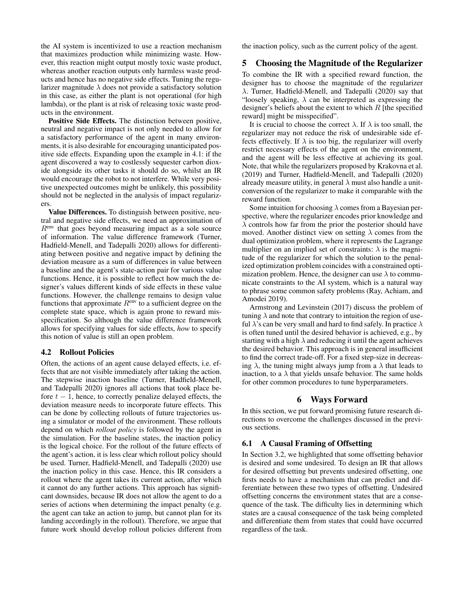the AI system is incentivized to use a reaction mechanism that maximizes production while minimizing waste. However, this reaction might output mostly toxic waste product, whereas another reaction outputs only harmless waste products and hence has no negative side effects. Tuning the regularizer magnitude  $\lambda$  does not provide a satisfactory solution in this case, as either the plant is not operational (for high lambda), or the plant is at risk of releasing toxic waste products in the environment.

Positive Side Effects. The distinction between positive, neutral and negative impact is not only needed to allow for a satisfactory performance of the agent in many environments, it is also desirable for encouraging unanticipated positive side effects. Expanding upon the example in 4.1: if the agent discovered a way to costlessly sequester carbon dioxide alongside its other tasks it should do so, whilst an IR would encourage the robot to not interfere. While very positive unexpected outcomes might be unlikely, this possibility should not be neglected in the analysis of impact regularizers.

Value Differences. To distinguish between positive, neutral and negative side effects, we need an approximation of  $R<sup>env</sup>$  that goes beyond measuring impact as a sole source of information. The value difference framework (Turner, Hadfield-Menell, and Tadepalli 2020) allows for differentiating between positive and negative impact by defining the deviation measure as a sum of differences in value between a baseline and the agent's state-action pair for various value functions. Hence, it is possible to reflect how much the designer's values different kinds of side effects in these value functions. However, the challenge remains to design value functions that approximate  $R<sup>env</sup>$  to a sufficient degree on the complete state space, which is again prone to reward misspecification. So although the value difference framework allows for specifying values for side effects, *how* to specify this notion of value is still an open problem.

#### 4.2 Rollout Policies

Often, the actions of an agent cause delayed effects, i.e. effects that are not visible immediately after taking the action. The stepwise inaction baseline (Turner, Hadfield-Menell, and Tadepalli 2020) ignores all actions that took place before  $t - 1$ , hence, to correctly penalize delayed effects, the deviation measure needs to incorporate future effects. This can be done by collecting rollouts of future trajectories using a simulator or model of the environment. These rollouts depend on which *rollout policy* is followed by the agent in the simulation. For the baseline states, the inaction policy is the logical choice. For the rollout of the future effects of the agent's action, it is less clear which rollout policy should be used. Turner, Hadfield-Menell, and Tadepalli (2020) use the inaction policy in this case. Hence, this IR considers a rollout where the agent takes its current action, after which it cannot do any further actions. This approach has significant downsides, because IR does not allow the agent to do a series of actions when determining the impact penalty (e.g. the agent can take an action to jump, but cannot plan for its landing accordingly in the rollout). Therefore, we argue that future work should develop rollout policies different from the inaction policy, such as the current policy of the agent.

### 5 Choosing the Magnitude of the Regularizer

To combine the IR with a specified reward function, the designer has to choose the magnitude of the regularizer λ. Turner, Hadfield-Menell, and Tadepalli (2020) say that "loosely speaking,  $\lambda$  can be interpreted as expressing the designer's beliefs about the extent to which  $R$  [the specified reward] might be misspecified".

It is crucial to choose the correct  $\lambda$ . If  $\lambda$  is too small, the regularizer may not reduce the risk of undesirable side effects effectively. If  $\lambda$  is too big, the regularizer will overly restrict necessary effects of the agent on the environment, and the agent will be less effective at achieving its goal. Note, that while the regularizers proposed by Krakovna et al. (2019) and Turner, Hadfield-Menell, and Tadepalli (2020) already measure utility, in general  $\lambda$  must also handle a unitconversion of the regularizer to make it comparable with the reward function.

Some intuition for choosing  $\lambda$  comes from a Bayesian perspective, where the regularizer encodes prior knowledge and  $\lambda$  controls how far from the prior the posterior should have moved. Another distinct view on setting  $\lambda$  comes from the dual optimization problem, where it represents the Lagrange multiplier on an implied set of constraints:  $\lambda$  is the magnitude of the regularizer for which the solution to the penalized optimization problem coincides with a constrained optimization problem. Hence, the designer can use  $\lambda$  to communicate constraints to the AI system, which is a natural way to phrase some common safety problems (Ray, Achiam, and Amodei 2019).

Armstrong and Levinstein (2017) discuss the problem of tuning  $\lambda$  and note that contrary to intuition the region of useful  $\lambda$ 's can be very small and hard to find safely. In practice  $\lambda$ is often tuned until the desired behavior is achieved, e.g., by starting with a high  $\lambda$  and reducing it until the agent achieves the desired behavior. This approach is in general insufficient to find the correct trade-off. For a fixed step-size in decreasing  $\lambda$ , the tuning might always jump from a  $\lambda$  that leads to inaction, to a  $\lambda$  that yields unsafe behavior. The same holds for other common procedures to tune hyperparameters.

### 6 Ways Forward

In this section, we put forward promising future research directions to overcome the challenges discussed in the previous sections.

#### 6.1 A Causal Framing of Offsetting

In Section 3.2, we highlighted that some offsetting behavior is desired and some undesired. To design an IR that allows for desired offsetting but prevents undesired offsetting, one firsts needs to have a mechanism that can predict and differentiate between these two types of offsetting. Undesired offsetting concerns the environment states that are a consequence of the task. The difficulty lies in determining which states are a causal consequence of the task being completed and differentiate them from states that could have occurred regardless of the task.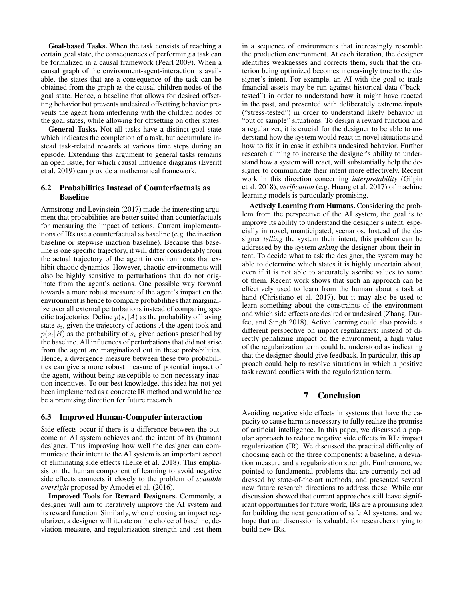Goal-based Tasks. When the task consists of reaching a certain goal state, the consequences of performing a task can be formalized in a causal framework (Pearl 2009). When a causal graph of the environment-agent-interaction is available, the states that are a consequence of the task can be obtained from the graph as the causal children nodes of the goal state. Hence, a baseline that allows for desired offsetting behavior but prevents undesired offsetting behavior prevents the agent from interfering with the children nodes of the goal states, while allowing for offsetting on other states.

General Tasks. Not all tasks have a distinct goal state which indicates the completion of a task, but accumulate instead task-related rewards at various time steps during an episode. Extending this argument to general tasks remains an open issue, for which causal influence diagrams (Everitt et al. 2019) can provide a mathematical framework.

### 6.2 Probabilities Instead of Counterfactuals as Baseline

Armstrong and Levinstein (2017) made the interesting argument that probabilities are better suited than counterfactuals for measuring the impact of actions. Current implementations of IRs use a counterfactual as baseline (e.g. the inaction baseline or stepwise inaction baseline). Because this baseline is one specific trajectory, it will differ considerably from the actual trajectory of the agent in environments that exhibit chaotic dynamics. However, chaotic environments will also be highly sensitive to perturbations that do not originate from the agent's actions. One possible way forward towards a more robust measure of the agent's impact on the environment is hence to compare probabilities that marginalize over all external perturbations instead of comparing specific trajectories. Define  $p(s_t|A)$  as the probability of having state  $s_t$ , given the trajectory of actions A the agent took and  $p(s_t|B)$  as the probability of  $s_t$  given actions prescribed by the baseline. All influences of perturbations that did not arise from the agent are marginalized out in these probabilities. Hence, a divergence measure between these two probabilities can give a more robust measure of potential impact of the agent, without being susceptible to non-necessary inaction incentives. To our best knowledge, this idea has not yet been implemented as a concrete IR method and would hence be a promising direction for future research.

#### 6.3 Improved Human-Computer interaction

Side effects occur if there is a difference between the outcome an AI system achieves and the intent of its (human) designer. Thus improving how well the designer can communicate their intent to the AI system is an important aspect of eliminating side effects (Leike et al. 2018). This emphasis on the human component of learning to avoid negative side effects connects it closely to the problem of *scalable oversight* proposed by Amodei et al. (2016).

Improved Tools for Reward Designers. Commonly, a designer will aim to iteratively improve the AI system and its reward function. Similarly, when choosing an impact regularizer, a designer will iterate on the choice of baseline, deviation measure, and regularization strength and test them

in a sequence of environments that increasingly resemble the production environment. At each iteration, the designer identifies weaknesses and corrects them, such that the criterion being optimized becomes increasingly true to the designer's intent. For example, an AI with the goal to trade financial assets may be run against historical data ("backtested") in order to understand how it might have reacted in the past, and presented with deliberately extreme inputs ("stress-tested") in order to understand likely behavior in "out of sample" situations. To design a reward function and a regularizer, it is crucial for the designer to be able to understand how the system would react in novel situations and how to fix it in case it exhibits undesired behavior. Further research aiming to increase the designer's ability to understand how a system will react, will substantially help the designer to communicate their intent more effectively. Recent work in this direction concerning *interpretability* (Gilpin et al. 2018), *verification* (e.g. Huang et al. 2017) of machine learning models is particularly promising.

Actively Learning from Humans. Considering the problem from the perspective of the AI system, the goal is to improve its ability to understand the designer's intent, especially in novel, unanticipated, scenarios. Instead of the designer *telling* the system their intent, this problem can be addressed by the system *asking* the designer about their intent. To decide what to ask the designer, the system may be able to determine which states it is highly uncertain about, even if it is not able to accurately ascribe values to some of them. Recent work shows that such an approach can be effectively used to learn from the human about a task at hand (Christiano et al. 2017), but it may also be used to learn something about the constraints of the environment and which side effects are desired or undesired (Zhang, Durfee, and Singh 2018). Active learning could also provide a different perspective on impact regularizers: instead of directly penalizing impact on the environment, a high value of the regularization term could be understood as indicating that the designer should give feedback. In particular, this approach could help to resolve situations in which a positive task reward conflicts with the regularization term.

## 7 Conclusion

Avoiding negative side effects in systems that have the capacity to cause harm is necessary to fully realize the promise of artificial intelligence. In this paper, we discussed a popular approach to reduce negative side effects in RL: impact regularization (IR). We discussed the practical difficulty of choosing each of the three components: a baseline, a deviation measure and a regularization strength. Furthermore, we pointed to fundamental problems that are currently not addressed by state-of-the-art methods, and presented several new future research directions to address these. While our discussion showed that current approaches still leave significant opportunities for future work, IRs are a promising idea for building the next generation of safe AI systems, and we hope that our discussion is valuable for researchers trying to build new IRs.